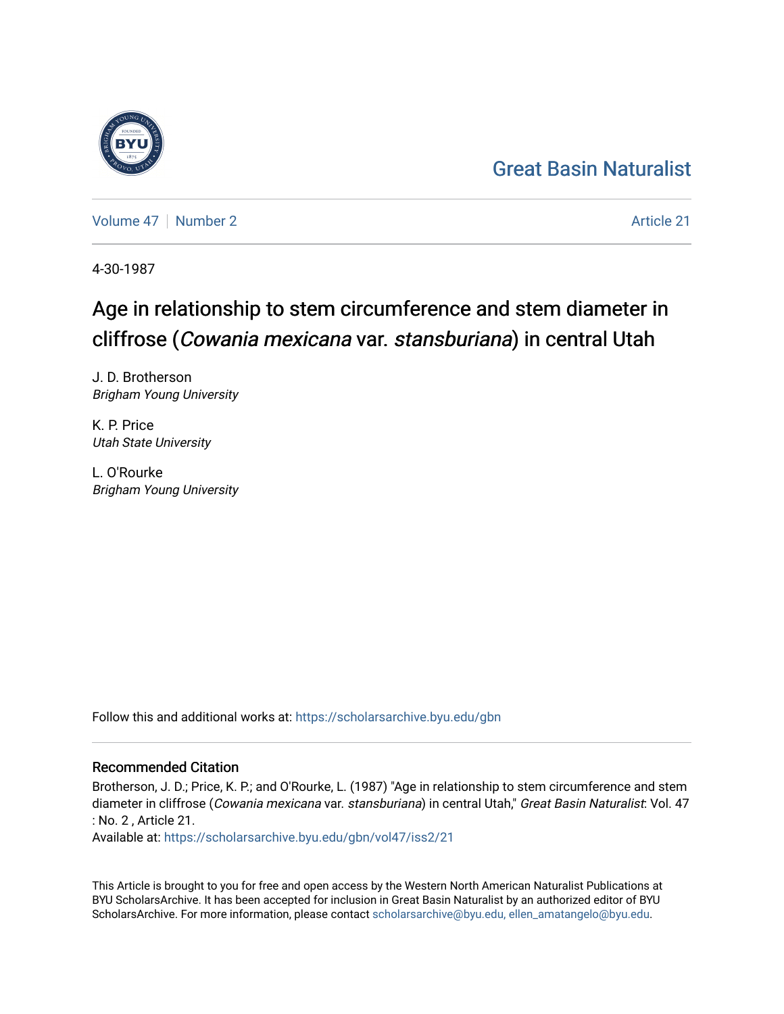## [Great Basin Naturalist](https://scholarsarchive.byu.edu/gbn)

[Volume 47](https://scholarsarchive.byu.edu/gbn/vol47) | [Number 2](https://scholarsarchive.byu.edu/gbn/vol47/iss2) Article 21

4-30-1987

# Age in relationship to stem circumference and stem diameter in cliffrose (Cowania mexicana var. stansburiana) in central Utah

J. D. Brotherson Brigham Young University

K. P. Price Utah State University

L. O'Rourke Brigham Young University

Follow this and additional works at: [https://scholarsarchive.byu.edu/gbn](https://scholarsarchive.byu.edu/gbn?utm_source=scholarsarchive.byu.edu%2Fgbn%2Fvol47%2Fiss2%2F21&utm_medium=PDF&utm_campaign=PDFCoverPages) 

### Recommended Citation

Brotherson, J. D.; Price, K. P.; and O'Rourke, L. (1987) "Age in relationship to stem circumference and stem diameter in cliffrose (Cowania mexicana var. stansburiana) in central Utah," Great Basin Naturalist: Vol. 47 : No. 2 , Article 21.

Available at: [https://scholarsarchive.byu.edu/gbn/vol47/iss2/21](https://scholarsarchive.byu.edu/gbn/vol47/iss2/21?utm_source=scholarsarchive.byu.edu%2Fgbn%2Fvol47%2Fiss2%2F21&utm_medium=PDF&utm_campaign=PDFCoverPages) 

This Article is brought to you for free and open access by the Western North American Naturalist Publications at BYU ScholarsArchive. It has been accepted for inclusion in Great Basin Naturalist by an authorized editor of BYU ScholarsArchive. For more information, please contact [scholarsarchive@byu.edu, ellen\\_amatangelo@byu.edu.](mailto:scholarsarchive@byu.edu,%20ellen_amatangelo@byu.edu)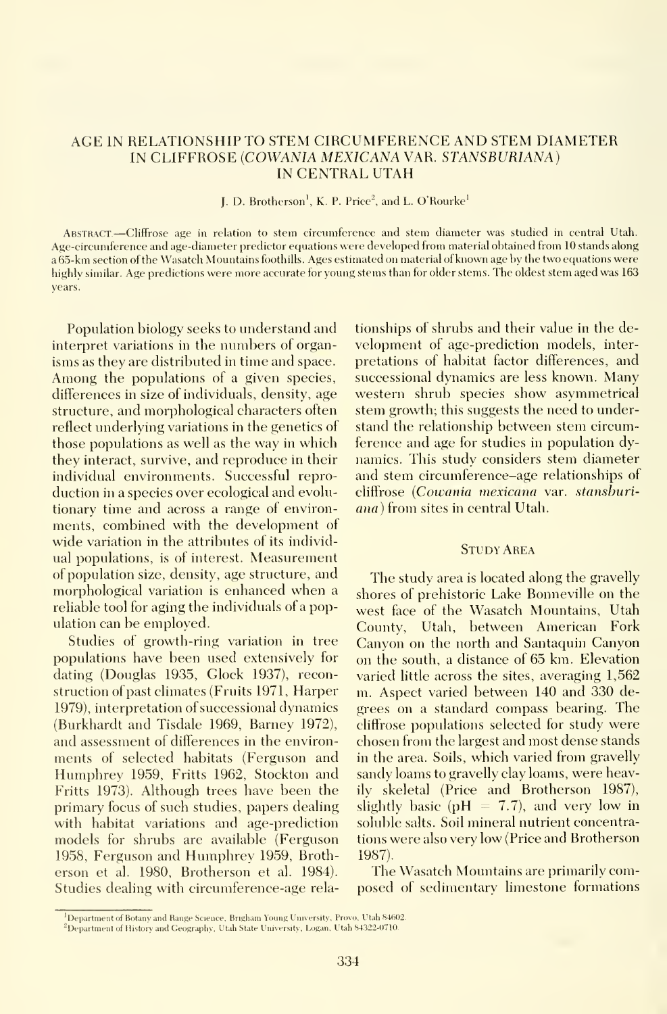#### AGE IN RELATIONSHIP TO STEM CIRCUMFERENCE AND STEM DIAMETER IN CLIFFROSE (COWANIA MEXICANA VAR. STANSBVRIANA) IN CENTRAL UTAH

#### J, D. Brotherson', K. P. Price", and L. O'Rourke'

ABSTRACT.-Cliffrose age in relation to stem circumference and stem diameter was studied in central Utah. Age-circumference and age-diameter predictor equations were developed from material obtained from 10 stands along a65-km section of the Wasatch Mountains foothills. Ages estimated on material of known age by the two ecjuations were highly similar. Age predictions were more accurate for young stems than for older stems. The oldest stem aged was 163 years.

Population biology seeks to understand and interpret variations in the numbers of organ isms as they are distributed in time and space. Among the populations of <sup>a</sup> given species, differences in size of individuals, density, age structure, and morphological characters often reflect underlying variations in the genetics of those populations as well as the way in which they interact, survive, and reproduce in their individual environments. Successful repro duction in a species over ecological and evolutionary time and across a range of environments, combined with the development of wide variation in the attributes of its individual populations, is of interest. Measurement of population size, density, age structure, and morphological variation is enhanced when <sup>a</sup> reliable tool for aging the individuals of a population can be employed.

Studies of growth-ring variation in tree populations have been used extensively for dating (Douglas 1935, Clock 1937), reconstruction of past climates (Fruits 1971, Harper 1979), interpretation of successional dynamics (Burkhardt and Tisdale 1969, Barney 1972), and assessment of differences in the environments of selected habitats (Ferguson and Humphrey 1959, Fritts 1962, Stockton and Fritts 1973). Although trees have been the primary focus of such studies, papers dealing with habitat variations and age-prediction models for shrubs are available (Ferguson 1958, Ferguson and Humphrey 1959, Broth erson et al. 1980, Brotherson et al. 1984). Studies dealing with circumference-age relationships of shrubs and their value in the development of age-prediction models, inter pretations of habitat factor differences, and successional dynamics are less known. Many western shrub species show asymmetrical stem growth; this suggests the need to understand the relationship between stem circumference and age for studies in population dynamics. This study considers stem diameter and stem circumference-age relationships of cliffrose {Cowania mexicana var. stansburiana) from sites in central Utah.

#### **STUDY AREA**

The study area is located along the gravelly shores of prehistoric Lake Bonneville on the west face of the Wasatch Mountains, Utah County, Utah, between American Fork Canyon on the north and Santaquin Canyon on the south, a distance of 65 km. Elevation varied little across the sites, averaging 1,562 m. Aspect varied between 140 and 330 degrees on a standard compass bearing. The cliffrose populations selected for study were chosen from the largest and most dense stands in the area. Soils, which varied from gravelly sandy loams to gravelly clay loams, were heavily skeletal (Price and Brotherson 1987), slightly basic ( $pH = 7.7$ ), and very low in soluble salts. Soil mineral nutrient concentrations were also verv low (Price and Brotherson 1987).

The Wasatch Mountains are primarily composed of sedimentary limestone formations

<sup>&</sup>lt;sup>1</sup>Department of Botany and Range Science. Brigham Young University, Provo, Utah 84602.

<sup>&</sup>lt;sup>2</sup>Department of History and Geography. Utah State University, Logan, Utah 84322-0710.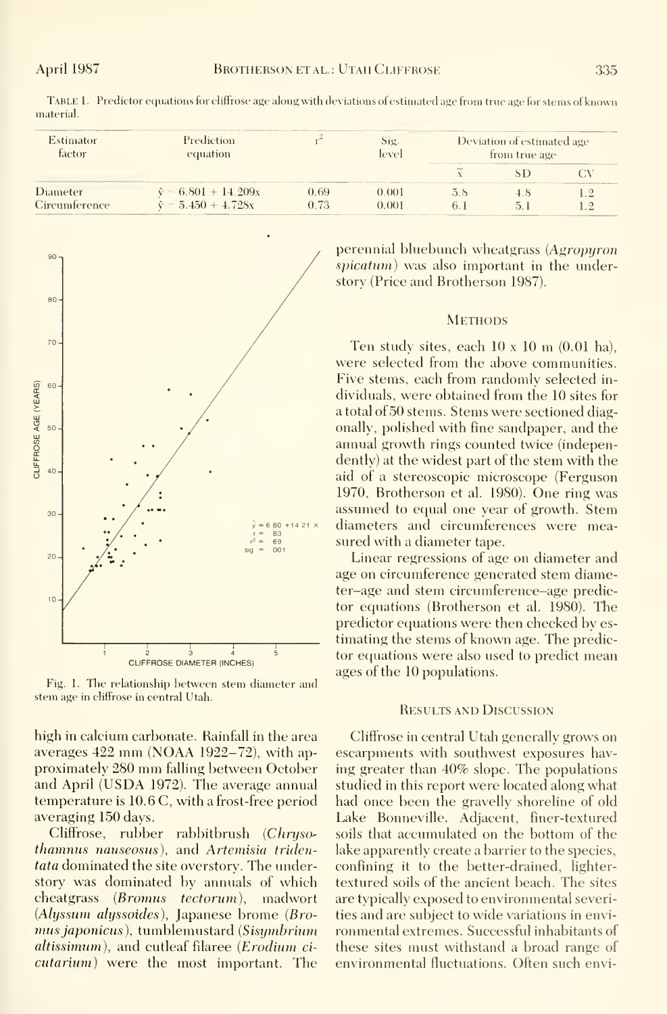| Estimator<br>factor       | Prediction<br>equation                                    |              | Sig.<br>level  | Deviation of estimated age<br>from true age |  |  |
|---------------------------|-----------------------------------------------------------|--------------|----------------|---------------------------------------------|--|--|
|                           |                                                           |              |                |                                             |  |  |
| Diameter<br>Circumference | $\hat{v} = 6.801 + 14.209x$<br>$\hat{v} = 5.450 + 4.728x$ | 0.69<br>0.73 | 0.001<br>0.001 | 5.8<br>b.                                   |  |  |

TABLE 1. Predictor equations for cliffrose age along with deviations of estimated age from true age for stems of known material.



Fig. 1. The relationship between stem diameter and stem age in cliffrose in central Utah.

high in calcium carbonate. Rainfall in the area averages 422 mm (NOAA 1922–72), with approximately 280 mm falling between October and April (USDA 1972). The average annual temperature is 10.6 C, with a frost-free period averaging 150 days.

Cliffrose, rubber rabbitbrush (Chrusothamnus nauseosus), and Artemisia tridentata dominated the site overstory. The understory was dominated by annuals of which cheatgrass (Bromus tectorum), madwort (Alyssum alyssoides), Japanese brome (Bromus japonicus), tumblemustard (Sisymbrium *altissimum*), and cutleaf filaree (*Erodium cicutarium*) were the most important. The perennial bluebunch wheatgrass (Agropyron spicatum) was also important in the understory (Price and Brotherson 1987).

#### **METHODS**

Ten study sites, each  $10 \times 10$  m  $(0.01$  ha), were selected from the above communities. Five stems, each from randomly selected individuals, were obtained from the 10 sites for a total of 50 stems. Stems were sectioned diagonally, polished with fine sandpaper, and the annual growth rings counted twice (independently) at the widest part of the stem with the aid of a stereoscopic microscope (Ferguson 1970, Brotherson et al. 1980). One ring was assumed to equal one year of growth. Stem diameters and circumferences were measured with a diameter tape.

Linear regressions of age on diameter and age on circumference generated stem diameter-age and stem circumference-age predictor equations (Brotherson et al. 1980). The predictor equations were then checked by estimating the stems of known age. The predictor equations were also used to predict mean ages of the 10 populations.

#### **RESULTS AND DISCUSSION**

Cliffrose in central Utah generally grows on escarpments with southwest exposures having greater than 40% slope. The populations studied in this report were located along what had once been the gravelly shoreline of old Lake Bonneville. Adjacent, finer-textured soils that accumulated on the bottom of the lake apparently create a barrier to the species, confining it to the better-drained, lightertextured soils of the ancient beach. The sites are typically exposed to environmental severities and are subject to wide variations in environmental extremes. Successful inhabitants of these sites must withstand a broad range of environmental fluctuations. Often such envi-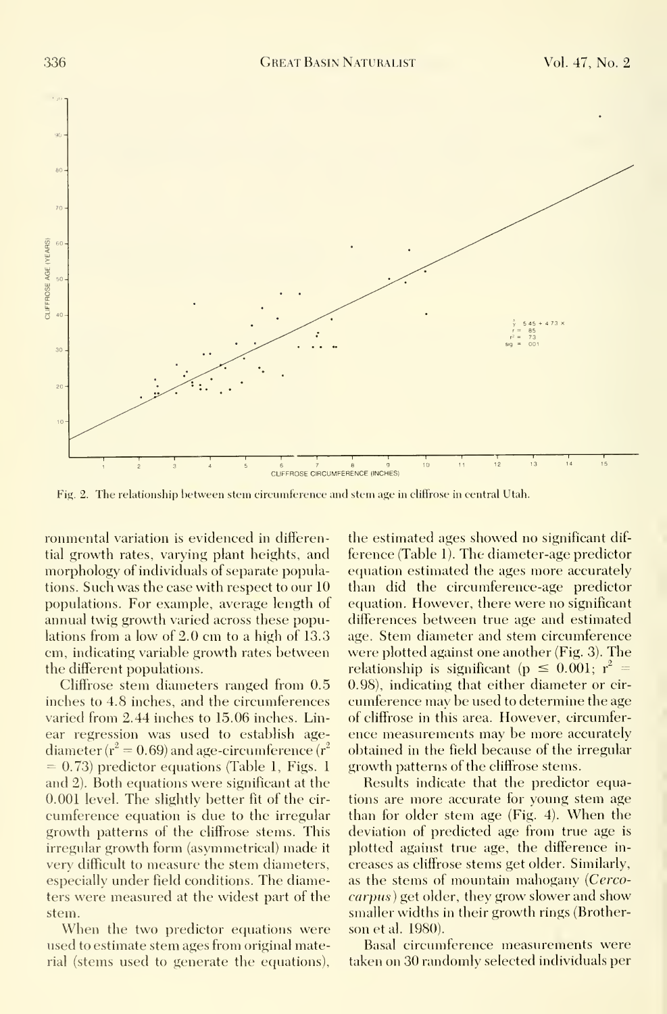

Fig. 2. The relationship between stem circumference and stem age in cliffrose in central Utah.

ronmental variation is evidenced in differential growth rates, varying plant heights, and morphology of individuals of separate populations. Such was the case with respect to our 10 populations. For example, average length of annual twig growth varied across these populations from <sup>a</sup> low of 2.0 cm to <sup>a</sup> high of 13.3 cm, indicating variable growth rates between the different populations.

Cliffrose stem diameters ranged from 0.5 inches to 4.8 inches, and the circumferences varied from 2.44 inches to 15.06 inches. Linear regression was used to establish age diameter ( $r^2 = 0.69$ ) and age-circumference ( $r^2$  $= 0.73$ ) predictor equations (Table 1, Figs. 1 and 2). Both equations were significant at the 0.001 level. The slightly better fit of the cir cumference equation is due to the irregular growth patterns of the cliffrose stems. This irregular growth form (asymmetrical) made it very difficult to measure the stem diameters, especially under field conditions. The diameters were measured at the widest part of the stem.

When the two predictor equations were used to estimate stem ages from original material (stems used to generate the equations).

the estimated ages showed no significant dif ference (Table 1). The diameter-age predictor equation estimated the ages more accurately than did the circumference-age predictor equation. However, there were no significant differences between true age and estimated age. Stem diameter and stem circumference were plotted against one another (Fig. 3). The relationship is significant ( $p \leq 0.001$ ;  $r^2 =$ 0.98), indicating that either diameter or cir cumference may be used to determine the age of cliffrose in this area. However, circumfer ence measurements may be more accurately obtained in the field because of the irregular growth patterns of the cliffrose stems.

Results indicate that the predictor equations are more accurate for young stem age than for older stem age (Fig. 4). When the deviation of predicted age from true age is plotted against true age, the difference in creases as cliffrose stems get older. Similarly, as the stems of mountain mahogany {Cercocarpus) get older, they grow slower and show smaller widths in their growth rings (Brother son et al. 1980).

Basal circumference measurements were taken on 30 randomly selected individuals per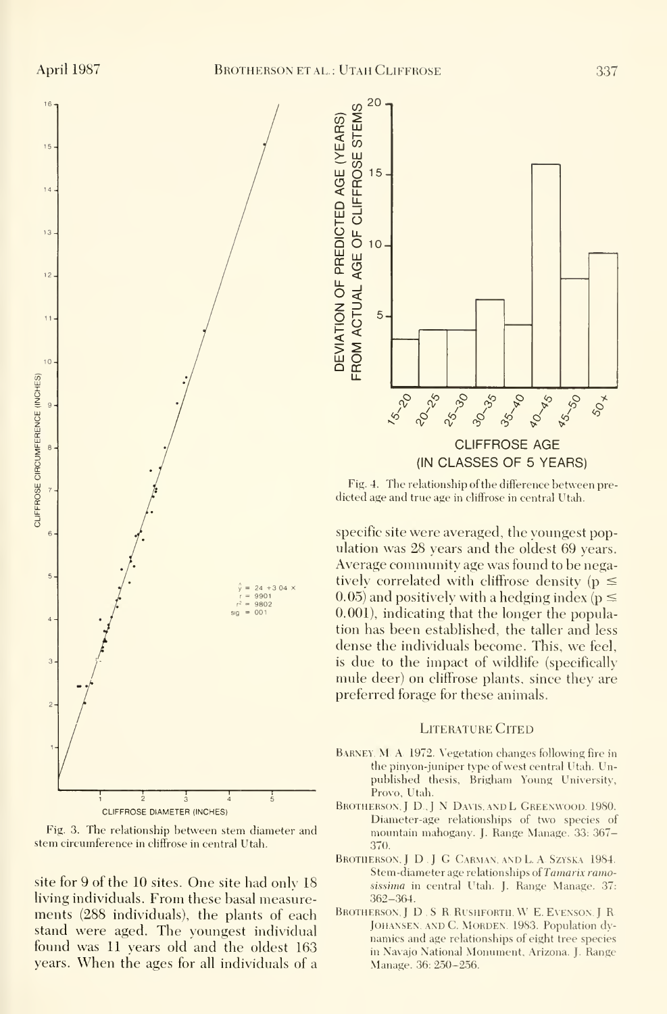

Fig. 3. The relationship between stem diameter and stem circumference in chiffrose in central Utah.

site for 9 of the 10 sites. One site had only 18 living individuals. From these basal measure-<br>ments (288 individuals) the plants of each BROTHERSON, J.D. S. R. RUSHFORTH, W. E. EVENSON, J. R. ments (288 individuals), the plants of each stand were aged. The youngest individual found was 11 years old and the oldest 163 years. When the ages for all individuals of <sup>a</sup>



Fig. 4. The relationship of the difference between predicted age and true age in cliffrose in central Utah.

specific site were averaged, the voungest population was 28 years and the oldest 69 years. Average community age was found to be negatively correlated with cliffrose density ( $p \le$ 0.05) and positively with a hedging index ( $p \le$ 0.001), indicating that the longer the population has been established, the taller and less dense the individuals become. This, we feel, is due to the impact of wildlife (specifically mule deer) on cliffrose plants, since they are preferred forage for these animals.

#### **LITERATURE CITED**

- BARNEY, M. A. 1972. Vegetation changes following fire in the pinyon-juniper type of west central Utah. Unpublished thesis, Brigham Young University, Provo, Utah.
- BROTHERSON, J D., J N DAVIS, AND L GREENWOOD. 1980. Diameter-age relationships of two species of mountain mahogany. J. Range Manage. 33: 367-370.
- BROTHERSON, J. D. J. G. CARMAN, AND L. A. SZYSKA 1984. Stem-diameter age relationships of Tamarix ramosissima in central Utah. J. Range Manage. 37:  $362 - 364.$
- JOHANSEN, AND C. MORDEN. 1983. Population dvnamics and age relationships of eight tree species in Navajo National Monument, Arizona. J. Range Manage. 36: 250-256.